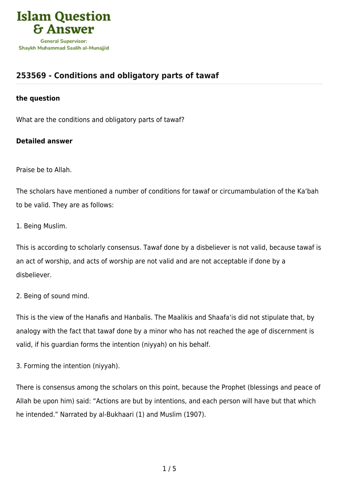

## **[253569 - Conditions and obligatory parts of tawaf](https://islamqa.com/en/answers/253569/conditions-and-obligatory-parts-of-tawaf)**

## **the question**

What are the conditions and obligatory parts of tawaf?

## **Detailed answer**

Praise be to Allah.

The scholars have mentioned a number of conditions for tawaf or circumambulation of the Ka'bah to be valid. They are as follows:

1. Being Muslim.

This is according to scholarly consensus. Tawaf done by a disbeliever is not valid, because tawaf is an act of worship, and acts of worship are not valid and are not acceptable if done by a disbeliever.

2. Being of sound mind.

This is the view of the Hanafis and Hanbalis. The Maalikis and Shaafa'is did not stipulate that, by analogy with the fact that tawaf done by a minor who has not reached the age of discernment is valid, if his guardian forms the intention (niyyah) on his behalf.

3. Forming the intention (niyyah).

There is consensus among the scholars on this point, because the Prophet (blessings and peace of Allah be upon him) said: "Actions are but by intentions, and each person will have but that which he intended." Narrated by al-Bukhaari (1) and Muslim (1907).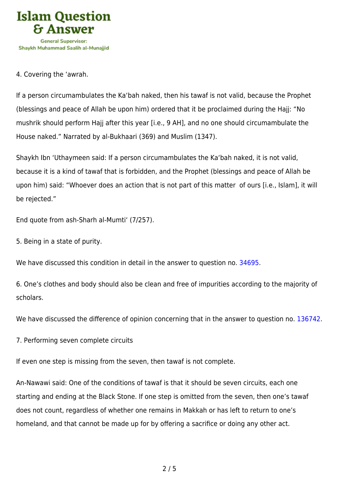

## 4. Covering the 'awrah.

If a person circumambulates the Ka'bah naked, then his tawaf is not valid, because the Prophet (blessings and peace of Allah be upon him) ordered that it be proclaimed during the Hajj: "No mushrik should perform Hajj after this year [i.e., 9 AH], and no one should circumambulate the House naked." Narrated by al-Bukhaari (369) and Muslim (1347).

Shaykh Ibn 'Uthaymeen said: If a person circumambulates the Ka'bah naked, it is not valid, because it is a kind of tawaf that is forbidden, and the Prophet (blessings and peace of Allah be upon him) said: "Whoever does an action that is not part of this matter of ours [i.e., Islam], it will be rejected."

End quote from ash-Sharh al-Mumti' (7/257).

5. Being in a state of purity.

We have discussed this condition in detail in the answer to question no. [34695.](https://islamqa.com/en/answers/34695)

6. One's clothes and body should also be clean and free of impurities according to the majority of scholars.

We have discussed the difference of opinion concerning that in the answer to question no. [136742.](https://islamqa.com/en/answers/136742)

7. Performing seven complete circuits

If even one step is missing from the seven, then tawaf is not complete.

An-Nawawi said: One of the conditions of tawaf is that it should be seven circuits, each one starting and ending at the Black Stone. If one step is omitted from the seven, then one's tawaf does not count, regardless of whether one remains in Makkah or has left to return to one's homeland, and that cannot be made up for by offering a sacrifice or doing any other act.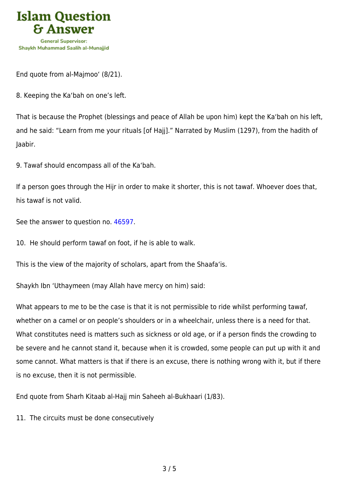

End quote from al-Majmoo' (8/21).

8. Keeping the Ka'bah on one's left.

That is because the Prophet (blessings and peace of Allah be upon him) kept the Ka'bah on his left, and he said: "Learn from me your rituals [of Hajj]." Narrated by Muslim (1297), from the hadith of Jaabir.

9. Tawaf should encompass all of the Ka'bah.

If a person goes through the Hijr in order to make it shorter, this is not tawaf. Whoever does that, his tawaf is not valid.

See the answer to question no. [46597](https://islamqa.com/en/answers/46597).

10. He should perform tawaf on foot, if he is able to walk.

This is the view of the majority of scholars, apart from the Shaafa'is.

Shaykh Ibn 'Uthaymeen (may Allah have mercy on him) said:

What appears to me to be the case is that it is not permissible to ride whilst performing tawaf, whether on a camel or on people's shoulders or in a wheelchair, unless there is a need for that. What constitutes need is matters such as sickness or old age, or if a person finds the crowding to be severe and he cannot stand it, because when it is crowded, some people can put up with it and some cannot. What matters is that if there is an excuse, there is nothing wrong with it, but if there is no excuse, then it is not permissible.

End quote from Sharh Kitaab al-Hajj min Saheeh al-Bukhaari (1/83).

11. The circuits must be done consecutively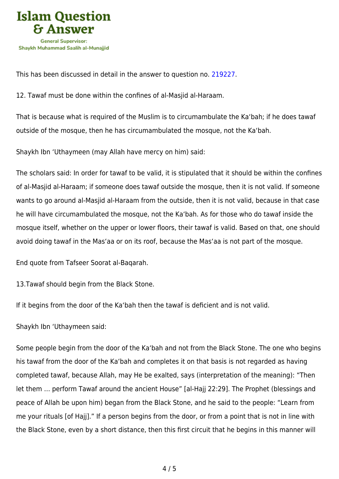

This has been discussed in detail in the answer to question no. [219227.](https://islamqa.com/en/answers/219227)

12. Tawaf must be done within the confines of al-Masjid al-Haraam.

That is because what is required of the Muslim is to circumambulate the Ka'bah; if he does tawaf outside of the mosque, then he has circumambulated the mosque, not the Ka'bah.

Shaykh Ibn 'Uthaymeen (may Allah have mercy on him) said:

The scholars said: In order for tawaf to be valid, it is stipulated that it should be within the confines of al-Masjid al-Haraam; if someone does tawaf outside the mosque, then it is not valid. If someone wants to go around al-Masjid al-Haraam from the outside, then it is not valid, because in that case he will have circumambulated the mosque, not the Ka'bah. As for those who do tawaf inside the mosque itself, whether on the upper or lower floors, their tawaf is valid. Based on that, one should avoid doing tawaf in the Mas'aa or on its roof, because the Mas'aa is not part of the mosque.

End quote from Tafseer Soorat al-Baqarah.

13.Tawaf should begin from the Black Stone.

If it begins from the door of the Ka'bah then the tawaf is deficient and is not valid.

Shaykh Ibn 'Uthaymeen said:

Some people begin from the door of the Ka'bah and not from the Black Stone. The one who begins his tawaf from the door of the Ka'bah and completes it on that basis is not regarded as having completed tawaf, because Allah, may He be exalted, says (interpretation of the meaning): "Then let them … perform Tawaf around the ancient House" [al-Hajj 22:29]. The Prophet (blessings and peace of Allah be upon him) began from the Black Stone, and he said to the people: "Learn from me your rituals [of Hajj]." If a person begins from the door, or from a point that is not in line with the Black Stone, even by a short distance, then this first circuit that he begins in this manner will